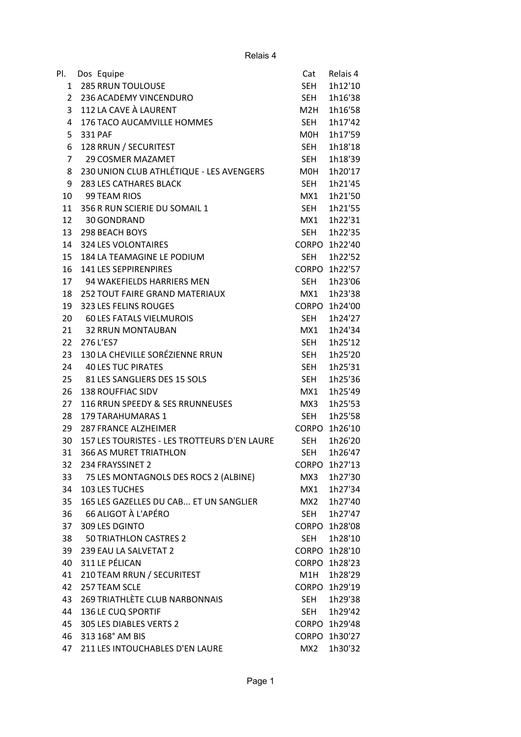Relais 4

| PI.          |                                              | Cat          | Relais 4      |
|--------------|----------------------------------------------|--------------|---------------|
| $\mathbf{1}$ | Dos Equipe<br><b>285 RRUN TOULOUSE</b>       | SEH          | 1h12'10       |
| 2            | 236 ACADEMY VINCENDURO                       | <b>SEH</b>   | 1h16'38       |
| 3            | 112 LA CAVE À LAURENT                        | M2H          | 1h16'58       |
| 4            | 176 TACO AUCAMVILLE HOMMES                   | SEH          | 1h17'42       |
| 5            | 331 PAF                                      | M0H          | 1h17'59       |
| 6            | 128 RRUN / SECURITEST                        | SEH          | 1h18'18       |
| 7            | <b>29 COSMER MAZAMET</b>                     | SEH          | 1h18'39       |
| 8            | 230 UNION CLUB ATHLÉTIQUE - LES AVENGERS     | <b>MOH</b>   | 1h20'17       |
| 9            | <b>283 LES CATHARES BLACK</b>                | <b>SEH</b>   | 1h21'45       |
| 10           | 99 TEAM RIOS                                 | MX1          | 1h21'50       |
| 11           | 356 R RUN SCIERIE DU SOMAIL 1                | <b>SEH</b>   | 1h21'55       |
| 12           | 30 GONDRAND                                  | MX1          | 1h22'31       |
| 13           | <b>298 BEACH BOYS</b>                        | SEH          | 1h22'35       |
| 14           | <b>324 LES VOLONTAIRES</b>                   |              | CORPO 1h22'40 |
| 15           | 184 LA TEAMAGINE LE PODIUM                   | SEH          | 1h22'52       |
| 16           | 141 LES SEPPIRENPIRES                        |              | CORPO 1h22'57 |
| 17           | 94 WAKEFIELDS HARRIERS MEN                   | SEH          | 1h23'06       |
| 18           | <b>252 TOUT FAIRE GRAND MATERIAUX</b>        | MX1          | 1h23'38       |
| 19           | 323 LES FELINS ROUGES                        |              | CORPO 1h24'00 |
| 20           | <b>60 LES FATALS VIELMUROIS</b>              | SEH          | 1h24'27       |
| 21           | <b>32 RRUN MONTAUBAN</b>                     | MX1          | 1h24'34       |
| 22           | 276 L'ES7                                    | <b>SEH</b>   | 1h25'12       |
| 23           | 130 LA CHEVILLE SORÉZIENNE RRUN              | <b>SEH</b>   | 1h25'20       |
| 24           | <b>40 LES TUC PIRATES</b>                    | SEH          | 1h25'31       |
| 25           | 81 LES SANGLIERS DES 15 SOLS                 | <b>SEH</b>   | 1h25'36       |
| 26           | <b>138 ROUFFIAC SIDV</b>                     | MX1          | 1h25'49       |
| 27           | 116 RRUN SPEEDY & SES RRUNNEUSES             | MX3          | 1h25'53       |
| 28           | 179 TARAHUMARAS 1                            | SEH          | 1h25'58       |
| 29           | <b>287 FRANCE ALZHEIMER</b>                  | <b>CORPO</b> | 1h26'10       |
| 30           | 157 LES TOURISTES - LES TROTTEURS D'EN LAURE | <b>SEH</b>   | 1h26'20       |
| 31           | 366 AS MURET TRIATHLON                       |              | SEH 1h26'47   |
| 32           | 234 FRAYSSINET 2                             |              | CORPO 1h27'13 |
| 33           | 75 LES MONTAGNOLS DES ROCS 2 (ALBINE)        | MX3          | 1h27'30       |
| 34           | <b>103 LES TUCHES</b>                        | MX1          | 1h27'34       |
| 35           | 165 LES GAZELLES DU CAB ET UN SANGLIER       | MX2          | 1h27'40       |
| 36           | 66 ALIGOT À L'APÉRO                          | <b>SEH</b>   | 1h27'47       |
| 37           | 309 LES DGINTO                               |              | CORPO 1h28'08 |
| 38           | <b>50 TRIATHLON CASTRES 2</b>                | SEH          | 1h28'10       |
| 39           | 239 EAU LA SALVETAT 2                        |              | CORPO 1h28'10 |
| 40           | 311 LE PÉLICAN                               |              | CORPO 1h28'23 |
| 41           | 210 TEAM RRUN / SECURITEST                   | M1H          | 1h28'29       |
| 42           | 257 TEAM SCLE                                |              | CORPO 1h29'19 |
| 43           | 269 TRIATHLÈTE CLUB NARBONNAIS               | SEH          | 1h29'38       |
| 44           | 136 LE CUQ SPORTIF                           | SEH          | 1h29'42       |
| 45           | 305 LES DIABLES VERTS 2                      |              | CORPO 1h29'48 |
| 46           | 313 168° AM BIS                              |              | CORPO 1h30'27 |
| 47           | 211 LES INTOUCHABLES D'EN LAURE              | MX2          | 1h30'32       |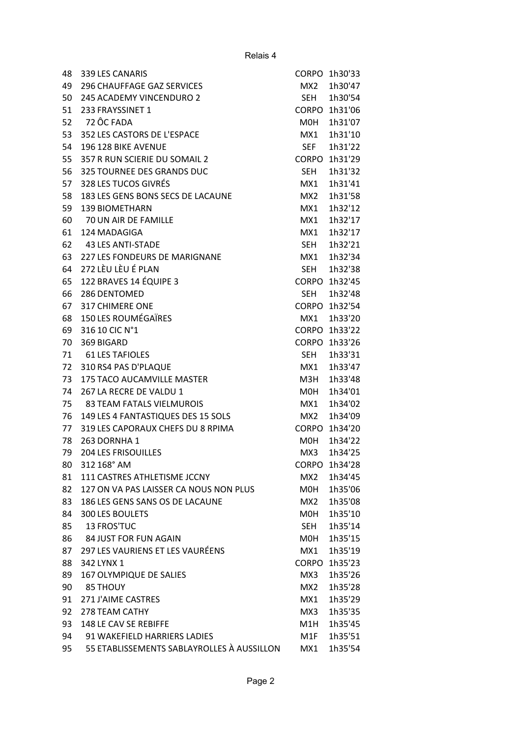| 48 | 339 LES CANARIS                            | <b>CORPO</b>    | 1h30'33       |
|----|--------------------------------------------|-----------------|---------------|
| 49 | <b>296 CHAUFFAGE GAZ SERVICES</b>          | MX <sub>2</sub> | 1h30'47       |
| 50 | <b>245 ACADEMY VINCENDURO 2</b>            | SEH             | 1h30'54       |
| 51 | 233 FRAYSSINET 1                           |                 | CORPO 1h31'06 |
| 52 | 72 ÔC FADA                                 | M0H             | 1h31'07       |
| 53 | 352 LES CASTORS DE L'ESPACE                | MX1             | 1h31'10       |
| 54 | 196 128 BIKE AVENUE                        | <b>SEF</b>      | 1h31'22       |
| 55 | 357 R RUN SCIERIE DU SOMAIL 2              | <b>CORPO</b>    | 1h31'29       |
| 56 | 325 TOURNEE DES GRANDS DUC                 | <b>SEH</b>      | 1h31'32       |
| 57 | 328 LES TUCOS GIVRÉS                       | MX1             | 1h31'41       |
| 58 | 183 LES GENS BONS SECS DE LACAUNE          | MX <sub>2</sub> | 1h31'58       |
| 59 | <b>139 BIOMETHARN</b>                      | MX1             | 1h32'12       |
| 60 | 70 UN AIR DE FAMILLE                       | MX1             | 1h32'17       |
| 61 | 124 MADAGIGA                               | MX1             | 1h32'17       |
| 62 | <b>43 LES ANTI-STADE</b>                   | <b>SEH</b>      | 1h32'21       |
| 63 | 227 LES FONDEURS DE MARIGNANE              | MX1             | 1h32'34       |
| 64 | 272 LÈU LÈU É PLAN                         | <b>SEH</b>      | 1h32'38       |
| 65 | 122 BRAVES 14 ÉQUIPE 3                     | CORPO           | 1h32'45       |
| 66 | 286 DENTOMED                               | <b>SEH</b>      | 1h32'48       |
| 67 | <b>317 CHIMERE ONE</b>                     | CORPO           | 1h32'54       |
| 68 | <b>150 LES ROUMÉGAÏRES</b>                 | MX1             | 1h33'20       |
| 69 | 316 10 CIC N°1                             |                 | CORPO 1h33'22 |
| 70 | 369 BIGARD                                 | <b>CORPO</b>    | 1h33'26       |
| 71 | <b>61 LES TAFIOLES</b>                     | <b>SEH</b>      | 1h33'31       |
| 72 | 310 RS4 PAS D'PLAQUE                       | MX1             | 1h33'47       |
| 73 | 175 TACO AUCAMVILLE MASTER                 | M3H             | 1h33'48       |
| 74 | 267 LA RECRE DE VALDU 1                    | M0H             | 1h34'01       |
| 75 | <b>83 TEAM FATALS VIELMUROIS</b>           | MX1             | 1h34'02       |
| 76 | 149 LES 4 FANTASTIQUES DES 15 SOLS         | MX <sub>2</sub> | 1h34'09       |
| 77 | 319 LES CAPORAUX CHEFS DU 8 RPIMA          | <b>CORPO</b>    | 1h34'20       |
| 78 | 263 DORNHA 1                               | M0H             | 1h34'22       |
| 79 | <b>204 LES FRISOUILLES</b>                 | MX3             | 1h34'25       |
| 80 | 312 168° AM                                | <b>CORPO</b>    | 1h34'28       |
| 81 | 111 CASTRES ATHLETISME JCCNY               | MX2             | 1h34'45       |
| 82 | 127 ON VA PAS LAISSER CA NOUS NON PLUS     | M0H             | 1h35'06       |
| 83 | 186 LES GENS SANS OS DE LACAUNE            | MX2             | 1h35'08       |
| 84 | 300 LES BOULETS                            | MOH             | 1h35'10       |
| 85 | 13 FROS'TUC                                | SEH             | 1h35'14       |
| 86 | <b>84 JUST FOR FUN AGAIN</b>               | M0H             | 1h35'15       |
|    | 297 LES VAURIENS ET LES VAURÉENS           |                 |               |
| 87 |                                            | MX1             | 1h35'19       |
| 88 | 342 LYNX 1                                 | <b>CORPO</b>    | 1h35'23       |
| 89 | 167 OLYMPIQUE DE SALIES                    | MX3             | 1h35'26       |
| 90 | 85 THOUY                                   | MX2             | 1h35'28       |
| 91 | 271 J'AIME CASTRES                         | MX1             | 1h35'29       |
| 92 | 278 TEAM CATHY                             | MX3             | 1h35'35       |
| 93 | 148 LE CAV SE REBIFFE                      | M1H             | 1h35'45       |
| 94 | 91 WAKEFIELD HARRIERS LADIES               | M1F             | 1h35'51       |
| 95 | 55 ETABLISSEMENTS SABLAYROLLES À AUSSILLON | MX1             | 1h35'54       |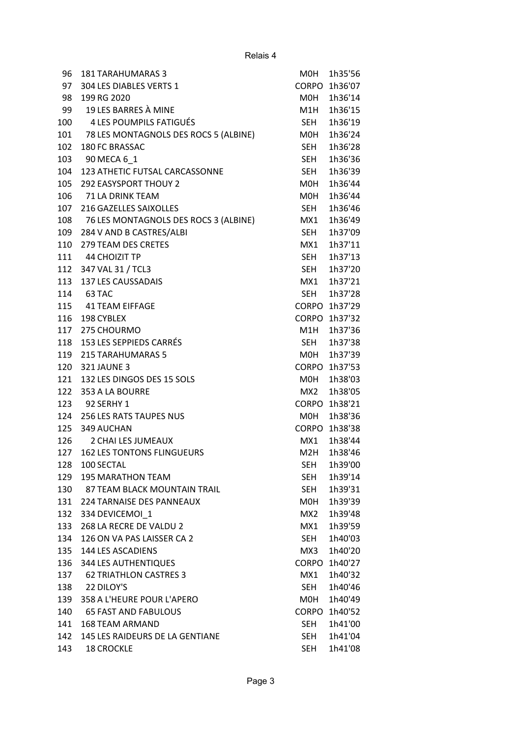| 96  | <b>181 TARAHUMARAS 3</b>              | M0H          | 1h35'56       |
|-----|---------------------------------------|--------------|---------------|
| 97  | 304 LES DIABLES VERTS 1               |              | CORPO 1h36'07 |
| 98  | 199 RG 2020                           | MOH          | 1h36'14       |
| 99  | 19 LES BARRES À MINE                  | M1H          | 1h36'15       |
| 100 | 4 LES POUMPILS FATIGUÉS               | SEH          | 1h36'19       |
| 101 | 78 LES MONTAGNOLS DES ROCS 5 (ALBINE) | M0H          | 1h36'24       |
| 102 | <b>180 FC BRASSAC</b>                 | SEH          | 1h36'28       |
| 103 | 90 MECA 6 1                           | SEH          | 1h36'36       |
| 104 | 123 ATHETIC FUTSAL CARCASSONNE        | <b>SEH</b>   | 1h36'39       |
| 105 | <b>292 EASYSPORT THOUY 2</b>          | M0H          | 1h36'44       |
| 106 | 71 LA DRINK TEAM                      | M0H          | 1h36'44       |
| 107 | 216 GAZELLES SAIXOLLES                | SEH          | 1h36'46       |
| 108 | 76 LES MONTAGNOLS DES ROCS 3 (ALBINE) | MX1          | 1h36'49       |
| 109 | 284 V AND B CASTRES/ALBI              | SEH          | 1h37'09       |
| 110 | 279 TEAM DES CRETES                   | MX1          | 1h37'11       |
| 111 | 44 CHOIZIT TP                         | <b>SEH</b>   | 1h37'13       |
| 112 | 347 VAL 31 / TCL3                     | SEH          | 1h37'20       |
| 113 | 137 LES CAUSSADAIS                    | MX1          | 1h37'21       |
|     | 114 63 TAC                            | SEH          | 1h37'28       |
|     | 115 41 TEAM EIFFAGE                   |              | CORPO 1h37'29 |
| 116 | 198 CYBLEX                            |              | CORPO 1h37'32 |
| 117 | 275 CHOURMO                           | M1H          | 1h37'36       |
| 118 | 153 LES SEPPIEDS CARRÉS               | SEH          | 1h37'38       |
| 119 | <b>215 TARAHUMARAS 5</b>              | M0H          | 1h37'39       |
| 120 | <b>321 JAUNE 3</b>                    |              | CORPO 1h37'53 |
| 121 | 132 LES DINGOS DES 15 SOLS            | MOH          | 1h38'03       |
| 122 | 353 A LA BOURRE                       | MX2          | 1h38'05       |
| 123 | 92 SERHY 1                            |              | CORPO 1h38'21 |
| 124 | <b>256 LES RATS TAUPES NUS</b>        | M0H          | 1h38'36       |
| 125 | 349 AUCHAN                            |              | CORPO 1h38'38 |
| 126 | 2 CHAI LES JUMEAUX                    | MX1          | 1h38'44       |
| 127 | <b>162 LES TONTONS FLINGUEURS</b>     | M2H          | 1h38'46       |
| 128 | 100 SECTAL                            | <b>SEH</b>   | 1h39'00       |
| 129 | <b>195 MARATHON TEAM</b>              | <b>SEH</b>   | 1h39'14       |
|     | 130 87 TEAM BLACK MOUNTAIN TRAIL      | <b>SEH</b>   | 1h39'31       |
| 131 | <b>224 TARNAISE DES PANNEAUX</b>      | M0H          | 1h39'39       |
| 132 | 334 DEVICEMOI 1                       | MX2          | 1h39'48       |
| 133 | 268 LA RECRE DE VALDU 2               | MX1          | 1h39'59       |
| 134 | 126 ON VA PAS LAISSER CA 2            | SEH          | 1h40'03       |
| 135 | <b>144 LES ASCADIENS</b>              | MX3          | 1h40'20       |
| 136 | <b>344 LES AUTHENTIQUES</b>           | <b>CORPO</b> | 1h40'27       |
| 137 | <b>62 TRIATHLON CASTRES 3</b>         | MX1          | 1h40'32       |
| 138 | 22 DILOY'S                            | SEH          | 1h40'46       |
| 139 | 358 A L'HEURE POUR L'APERO            | M0H          | 1h40'49       |
| 140 | <b>65 FAST AND FABULOUS</b>           | <b>CORPO</b> | 1h40'52       |
| 141 | <b>168 TEAM ARMAND</b>                | SEH          | 1h41'00       |
| 142 | 145 LES RAIDEURS DE LA GENTIANE       | <b>SEH</b>   | 1h41'04       |
| 143 | <b>18 CROCKLE</b>                     | SEH          | 1h41'08       |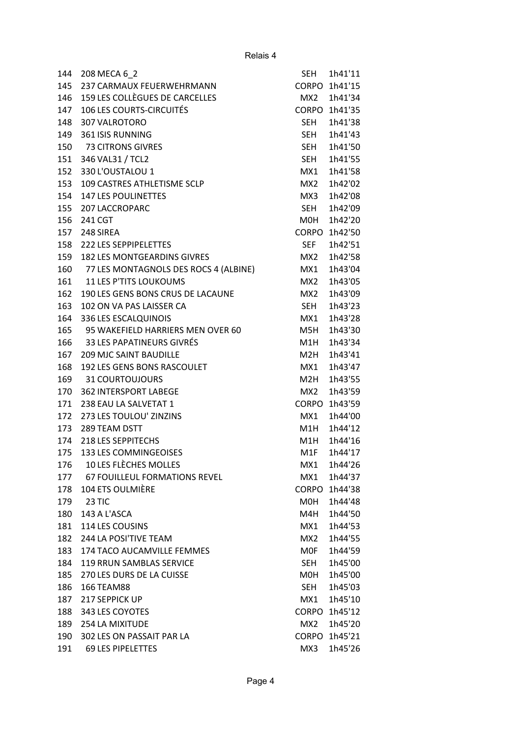| 144 | 208 MECA 6 2                          | <b>SEH</b>       | 1h41'11       |
|-----|---------------------------------------|------------------|---------------|
| 145 | 237 CARMAUX FEUERWEHRMANN             |                  | CORPO 1h41'15 |
| 146 | 159 LES COLLÈGUES DE CARCELLES        | MX2              | 1h41'34       |
| 147 | <b>106 LES COURTS-CIRCUITÉS</b>       |                  | CORPO 1h41'35 |
| 148 | 307 VALROTORO                         | SEH              | 1h41'38       |
| 149 | 361 ISIS RUNNING                      | SEH              | 1h41'43       |
| 150 | 73 CITRONS GIVRES                     | <b>SEH</b>       | 1h41'50       |
| 151 | 346 VAL31 / TCL2                      | SEH              | 1h41'55       |
| 152 | 330 L'OUSTALOU 1                      | MX1              | 1h41'58       |
| 153 | 109 CASTRES ATHLETISME SCLP           | MX2              | 1h42'02       |
| 154 | <b>147 LES POULINETTES</b>            | MX3              | 1h42'08       |
| 155 | 207 LACCROPARC                        | <b>SEH</b>       | 1h42'09       |
| 156 | 241 CGT                               | M0H              | 1h42'20       |
| 157 | 248 SIREA                             | <b>CORPO</b>     | 1h42'50       |
| 158 | 222 LES SEPPIPELETTES                 | <b>SEF</b>       | 1h42'51       |
| 159 | <b>182 LES MONTGEARDINS GIVRES</b>    | MX <sub>2</sub>  | 1h42'58       |
| 160 | 77 LES MONTAGNOLS DES ROCS 4 (ALBINE) | MX1              | 1h43'04       |
| 161 | <b>11 LES P'TITS LOUKOUMS</b>         | MX <sub>2</sub>  | 1h43'05       |
| 162 | 190 LES GENS BONS CRUS DE LACAUNE     | MX <sub>2</sub>  | 1h43'09       |
| 163 | 102 ON VA PAS LAISSER CA              | SEH              | 1h43'23       |
| 164 | 336 LES ESCALQUINOIS                  | MX1              | 1h43'28       |
| 165 | 95 WAKEFIELD HARRIERS MEN OVER 60     | M5H              | 1h43'30       |
| 166 | 33 LES PAPATINEURS GIVRÉS             | M1H              | 1h43'34       |
| 167 | <b>209 MJC SAINT BAUDILLE</b>         | M <sub>2</sub> H | 1h43'41       |
| 168 | 192 LES GENS BONS RASCOULET           | MX1              | 1h43'47       |
| 169 | 31 COURTOUJOURS                       | M2H              | 1h43'55       |
| 170 | <b>362 INTERSPORT LABEGE</b>          | MX <sub>2</sub>  | 1h43'59       |
| 171 | 238 EAU LA SALVETAT 1                 | <b>CORPO</b>     | 1h43'59       |
| 172 | 273 LES TOULOU' ZINZINS               | MX1              | 1h44'00       |
| 173 | 289 TEAM DSTT                         | M1H              | 1h44'12       |
| 174 | 218 LES SEPPITECHS                    | M1H              | 1h44'16       |
| 175 | 133 LES COMMINGEOISES                 | M1F              | 1h44'17       |
| 176 | 10 LES FLÈCHES MOLLES                 | MX1              | 1h44'26       |
| 177 | <b>67 FOUILLEUL FORMATIONS REVEL</b>  | MX1              | 1h44'37       |
| 178 | 104 ETS OULMIÈRE                      | <b>CORPO</b>     | 1h44'38       |
| 179 | 23 TIC                                | M0H              | 1h44'48       |
| 180 | 143 A L'ASCA                          | M4H              | 1h44'50       |
| 181 | 114 LES COUSINS                       | MX1              | 1h44'53       |
| 182 | 244 LA POSI'TIVE TEAM                 | MX <sub>2</sub>  | 1h44'55       |
| 183 | 174 TACO AUCAMVILLE FEMMES            | <b>MOF</b>       | 1h44'59       |
| 184 | 119 RRUN SAMBLAS SERVICE              | SEH              | 1h45'00       |
| 185 | 270 LES DURS DE LA CUISSE             | M0H              | 1h45'00       |
| 186 | 166 TEAM88                            | <b>SEH</b>       | 1h45'03       |
| 187 | 217 SEPPICK UP                        | MX1              | 1h45'10       |
| 188 | 343 LES COYOTES                       | <b>CORPO</b>     | 1h45'12       |
| 189 | 254 LA MIXITUDE                       | MX <sub>2</sub>  | 1h45'20       |
| 190 | 302 LES ON PASSAIT PAR LA             | <b>CORPO</b>     | 1h45'21       |
| 191 | <b>69 LES PIPELETTES</b>              | MX3              | 1h45'26       |
|     |                                       |                  |               |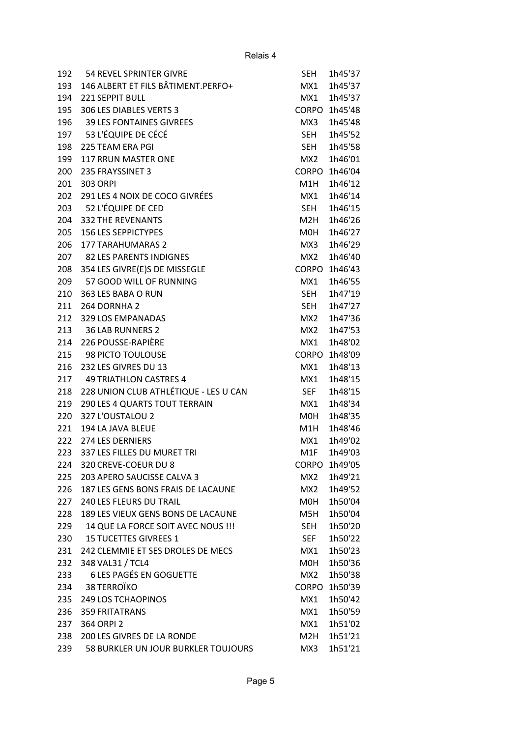| 192 | 54 REVEL SPRINTER GIVRE               | <b>SEH</b>      | 1h45'37 |
|-----|---------------------------------------|-----------------|---------|
| 193 | 146 ALBERT ET FILS BÂTIMENT.PERFO+    | MX1             | 1h45'37 |
| 194 | <b>221 SEPPIT BULL</b>                | MX1             | 1h45'37 |
| 195 | 306 LES DIABLES VERTS 3               | <b>CORPO</b>    | 1h45'48 |
| 196 | <b>39 LES FONTAINES GIVREES</b>       | MX3             | 1h45'48 |
| 197 | 53 L'ÉQUIPE DE CÉCÉ                   | <b>SEH</b>      | 1h45'52 |
| 198 | 225 TEAM ERA PGI                      | SEH             | 1h45'58 |
| 199 | <b>117 RRUN MASTER ONE</b>            | MX <sub>2</sub> | 1h46'01 |
| 200 | 235 FRAYSSINET 3                      | <b>CORPO</b>    | 1h46'04 |
| 201 | 303 ORPI                              | M1H             | 1h46'12 |
| 202 | 291 LES 4 NOIX DE COCO GIVRÉES        | MX1             | 1h46'14 |
| 203 | 52 L'ÉQUIPE DE CED                    | <b>SEH</b>      | 1h46'15 |
| 204 | <b>332 THE REVENANTS</b>              | M2H             | 1h46'26 |
| 205 | <b>156 LES SEPPICTYPES</b>            | M0H             | 1h46'27 |
| 206 | <b>177 TARAHUMARAS 2</b>              | MX3             | 1h46'29 |
| 207 | <b>82 LES PARENTS INDIGNES</b>        | MX2             | 1h46'40 |
| 208 | 354 LES GIVRE(E)S DE MISSEGLE         | <b>CORPO</b>    | 1h46'43 |
| 209 | 57 GOOD WILL OF RUNNING               | MX1             | 1h46'55 |
| 210 | 363 LES BABA O RUN                    | <b>SEH</b>      | 1h47'19 |
| 211 | 264 DORNHA 2                          | <b>SEH</b>      | 1h47'27 |
| 212 | 329 LOS EMPANADAS                     | MX <sub>2</sub> | 1h47'36 |
| 213 | <b>36 LAB RUNNERS 2</b>               | MX2             | 1h47'53 |
| 214 | 226 POUSSE-RAPIÈRE                    | MX1             | 1h48'02 |
| 215 | 98 PICTO TOULOUSE                     | <b>CORPO</b>    | 1h48'09 |
| 216 | 232 LES GIVRES DU 13                  | MX1             | 1h48'13 |
| 217 | <b>49 TRIATHLON CASTRES 4</b>         | MX1             | 1h48'15 |
| 218 | 228 UNION CLUB ATHLÉTIQUE - LES U CAN | <b>SEF</b>      | 1h48'15 |
| 219 | 290 LES 4 QUARTS TOUT TERRAIN         | MX1             | 1h48'34 |
| 220 | 327 L'OUSTALOU 2                      | M0H             | 1h48'35 |
| 221 | 194 LA JAVA BLEUE                     | M1H             | 1h48'46 |
| 222 | <b>274 LES DERNIERS</b>               | MX1             | 1h49'02 |
| 223 | 337 LES FILLES DU MURET TRI           | M1F             | 1h49'03 |
| 224 | 320 CREVE-COEUR DU 8                  | <b>CORPO</b>    | 1h49'05 |
| 225 | 203 APERO SAUCISSE CALVA 3            | MX2             | 1h49'21 |
| 226 | 187 LES GENS BONS FRAIS DE LACAUNE    | MX2             | 1h49'52 |
| 227 | <b>240 LES FLEURS DU TRAIL</b>        | M0H             | 1h50'04 |
| 228 | 189 LES VIEUX GENS BONS DE LACAUNE    | M5H             | 1h50'04 |
| 229 | 14 QUE LA FORCE SOIT AVEC NOUS !!!    | SEH             | 1h50'20 |
| 230 | 15 TUCETTES GIVREES 1                 | <b>SEF</b>      | 1h50'22 |
| 231 | 242 CLEMMIE ET SES DROLES DE MECS     | MX1             | 1h50'23 |
| 232 | 348 VAL31 / TCL4                      | M0H             | 1h50'36 |
| 233 | <b>6 LES PAGÉS EN GOGUETTE</b>        | MX2             | 1h50'38 |
| 234 | 38 TERROÏKO                           | <b>CORPO</b>    | 1h50'39 |
| 235 | <b>249 LOS TCHAOPINOS</b>             | MX1             | 1h50'42 |
| 236 | <b>359 FRITATRANS</b>                 | MX1             | 1h50'59 |
| 237 | 364 ORPI 2                            | MX1             | 1h51'02 |
| 238 | 200 LES GIVRES DE LA RONDE            | M2H             | 1h51'21 |
| 239 | 58 BURKLER UN JOUR BURKLER TOUJOURS   | MX3             | 1h51'21 |
|     |                                       |                 |         |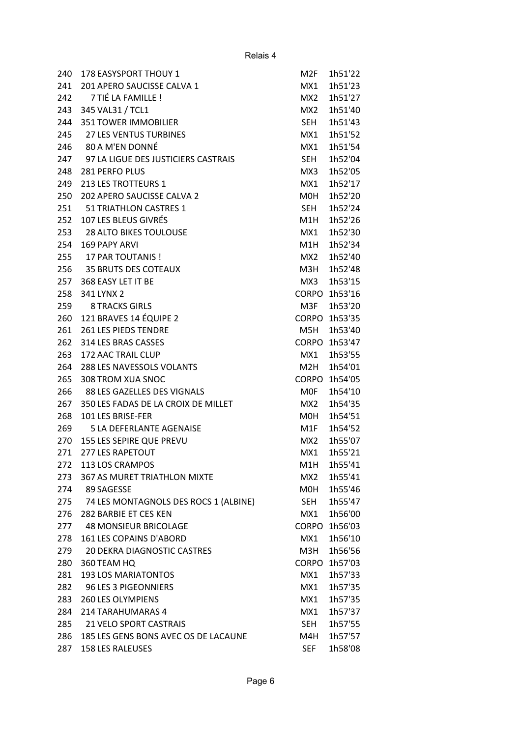| 240 | 178 EASYSPORT THOUY 1                 | M <sub>2F</sub>  | 1h51'22       |
|-----|---------------------------------------|------------------|---------------|
| 241 | 201 APERO SAUCISSE CALVA 1            | MX1              | 1h51'23       |
| 242 | 7 TIÉ LA FAMILLE !                    | MX <sub>2</sub>  | 1h51'27       |
| 243 | 345 VAL31 / TCL1                      | MX2              | 1h51'40       |
| 244 | <b>351 TOWER IMMOBILIER</b>           | <b>SEH</b>       | 1h51'43       |
| 245 | <b>27 LES VENTUS TURBINES</b>         | MX1              | 1h51'52       |
| 246 | 80 A M'EN DONNÉ                       | MX1              | 1h51'54       |
| 247 | 97 LA LIGUE DES JUSTICIERS CASTRAIS   | <b>SEH</b>       | 1h52'04       |
| 248 | 281 PERFO PLUS                        | MX3              | 1h52'05       |
| 249 | 213 LES TROTTEURS 1                   | MX1              | 1h52'17       |
| 250 | 202 APERO SAUCISSE CALVA 2            | M0H              | 1h52'20       |
| 251 | 51 TRIATHLON CASTRES 1                | <b>SEH</b>       | 1h52'24       |
| 252 | 107 LES BLEUS GIVRÉS                  | M1H              | 1h52'26       |
| 253 | <b>28 ALTO BIKES TOULOUSE</b>         | MX1              | 1h52'30       |
| 254 | 169 PAPY ARVI                         | M <sub>1</sub> H | 1h52'34       |
|     | 255 17 PAR TOUTANIS!                  | MX2              | 1h52'40       |
|     | 256 35 BRUTS DES COTEAUX              | M3H              | 1h52'48       |
| 257 | 368 EASY LET IT BE                    | MX3              | 1h53'15       |
| 258 | 341 LYNX 2                            | <b>CORPO</b>     | 1h53'16       |
| 259 | <b>8 TRACKS GIRLS</b>                 | M3F              | 1h53'20       |
| 260 | 121 BRAVES 14 ÉQUIPE 2                | <b>CORPO</b>     | 1h53'35       |
| 261 | <b>261 LES PIEDS TENDRE</b>           | M5H              | 1h53'40       |
| 262 | 314 LES BRAS CASSES                   |                  | CORPO 1h53'47 |
| 263 | 172 AAC TRAIL CLUP                    | MX1              | 1h53'55       |
| 264 | 288 LES NAVESSOLS VOLANTS             | M2H              | 1h54'01       |
| 265 | 308 TROM XUA SNOC                     | <b>CORPO</b>     | 1h54'05       |
| 266 | 88 LES GAZELLES DES VIGNALS           | M0F              | 1h54'10       |
| 267 | 350 LES FADAS DE LA CROIX DE MILLET   | MX2              | 1h54'35       |
| 268 | 101 LES BRISE-FER                     | M0H              | 1h54'51       |
| 269 | <b>5 LA DEFERLANTE AGENAISE</b>       | M1F              | 1h54'52       |
| 270 | 155 LES SEPIRE QUE PREVU              | MX2              | 1h55'07       |
| 271 | <b>277 LES RAPETOUT</b>               | MX1              | 1h55'21       |
| 272 | 113 LOS CRAMPOS                       | M1H              | 1h55'41       |
| 273 | 367 AS MURET TRIATHLON MIXTE          | MX2              | 1h55'41       |
| 274 | 89 SAGESSE                            | MOH              | 1h55'46       |
| 275 | 74 LES MONTAGNOLS DES ROCS 1 (ALBINE) | <b>SEH</b>       | 1h55'47       |
| 276 | 282 BARBIE ET CES KEN                 | MX1              | 1h56'00       |
| 277 | <b>48 MONSIEUR BRICOLAGE</b>          |                  | CORPO 1h56'03 |
| 278 | 161 LES COPAINS D'ABORD               | MX1              | 1h56'10       |
| 279 | 20 DEKRA DIAGNOSTIC CASTRES           | M3H              | 1h56'56       |
| 280 | 360 TEAM HQ                           | <b>CORPO</b>     | 1h57'03       |
| 281 | <b>193 LOS MARIATONTOS</b>            | MX1              | 1h57'33       |
| 282 | 96 LES 3 PIGEONNIERS                  | MX1              | 1h57'35       |
| 283 | <b>260 LES OLYMPIENS</b>              | MX1              | 1h57'35       |
| 284 | 214 TARAHUMARAS 4                     | MX1              | 1h57'37       |
| 285 | 21 VELO SPORT CASTRAIS                | <b>SEH</b>       | 1h57'55       |
| 286 | 185 LES GENS BONS AVEC OS DE LACAUNE  | M4H              | 1h57'57       |
| 287 | <b>158 LES RALEUSES</b>               | <b>SEF</b>       | 1h58'08       |
|     |                                       |                  |               |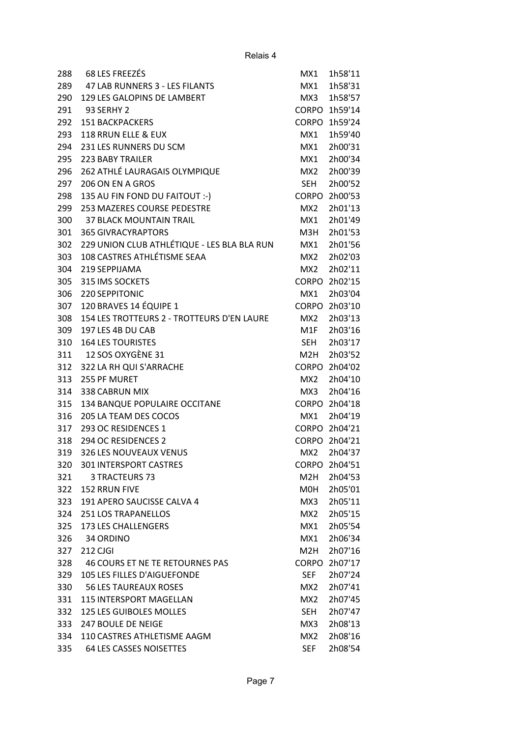| 288 | <b>68 LES FREEZÉS</b>                       | MX1              | 1h58'11       |
|-----|---------------------------------------------|------------------|---------------|
| 289 | 47 LAB RUNNERS 3 - LES FILANTS              | MX1              | 1h58'31       |
| 290 | 129 LES GALOPINS DE LAMBERT                 | MX3              | 1h58'57       |
| 291 | <b>93 SERHY 2</b>                           | <b>CORPO</b>     | 1h59'14       |
| 292 | <b>151 BACKPACKERS</b>                      | <b>CORPO</b>     | 1h59'24       |
| 293 | 118 RRUN ELLE & EUX                         | MX1              | 1h59'40       |
| 294 | 231 LES RUNNERS DU SCM                      | MX1              | 2h00'31       |
| 295 | <b>223 BABY TRAILER</b>                     | MX1              | 2h00'34       |
| 296 | 262 ATHLÉ LAURAGAIS OLYMPIQUE               | MX <sub>2</sub>  | 2h00'39       |
| 297 | 206 ON EN A GROS                            | <b>SEH</b>       | 2h00'52       |
| 298 | 135 AU FIN FOND DU FAITOUT :-)              | <b>CORPO</b>     | 2h00'53       |
| 299 | 253 MAZERES COURSE PEDESTRE                 | MX <sub>2</sub>  | 2h01'13       |
| 300 | <b>37 BLACK MOUNTAIN TRAIL</b>              | MX1              | 2h01'49       |
| 301 | <b>365 GIVRACYRAPTORS</b>                   | M3H              | 2h01'53       |
| 302 | 229 UNION CLUB ATHLÉTIQUE - LES BLA BLA RUN | MX1              | 2h01'56       |
| 303 | 108 CASTRES ATHLÉTISME SEAA                 | MX <sub>2</sub>  | 2h02'03       |
| 304 | 219 SEPPIJAMA                               | MX <sub>2</sub>  | 2h02'11       |
| 305 | 315 IMS SOCKETS                             | <b>CORPO</b>     | 2h02'15       |
| 306 | 220 SEPPITONIC                              | MX1              | 2h03'04       |
| 307 | 120 BRAVES 14 ÉQUIPE 1                      | <b>CORPO</b>     | 2h03'10       |
| 308 | 154 LES TROTTEURS 2 - TROTTEURS D'EN LAURE  | MX2              | 2h03'13       |
| 309 | 197 LES 4B DU CAB                           | M1F              | 2h03'16       |
| 310 | <b>164 LES TOURISTES</b>                    | <b>SEH</b>       | 2h03'17       |
| 311 | 12 SOS OXYGÈNE 31                           | M <sub>2</sub> H | 2h03'52       |
| 312 | 322 LA RH QUI S'ARRACHE                     | <b>CORPO</b>     | 2h04'02       |
| 313 | 255 PF MURET                                | MX2              | 2h04'10       |
| 314 | 338 CABRUN MIX                              | MX3              | 2h04'16       |
| 315 |                                             | <b>CORPO</b>     | 2h04'18       |
|     | 134 BANQUE POPULAIRE OCCITANE               |                  |               |
| 316 | 205 LA TEAM DES COCOS                       | MX1              | 2h04'19       |
| 317 | 293 OC RESIDENCES 1                         |                  | CORPO 2h04'21 |
| 318 | 294 OC RESIDENCES 2                         | <b>CORPO</b>     | 2h04'21       |
| 319 | 326 LES NOUVEAUX VENUS                      | MX2              | 2h04'37       |
| 320 | 301 INTERSPORT CASTRES                      | <b>CORPO</b>     | 2h04'51       |
| 321 | 3 TRACTEURS 73                              | M <sub>2</sub> H | 2h04'53       |
| 322 | <b>152 RRUN FIVE</b>                        | MOH              | 2h05'01       |
| 323 | 191 APERO SAUCISSE CALVA 4                  | MX3              | 2h05'11       |
| 324 | <b>251 LOS TRAPANELLOS</b>                  | MX2              | 2h05'15       |
| 325 | <b>173 LES CHALLENGERS</b>                  | MX1              | 2h05'54       |
| 326 | 34 ORDINO                                   | MX1              | 2h06'34       |
| 327 | 212 CJGI                                    | M <sub>2</sub> H | 2h07'16       |
| 328 | 46 COURS ET NE TE RETOURNES PAS             | <b>CORPO</b>     | 2h07'17       |
| 329 | 105 LES FILLES D'AIGUEFONDE                 | <b>SEF</b>       | 2h07'24       |
| 330 | <b>56 LES TAUREAUX ROSES</b>                | MX2              | 2h07'41       |
| 331 | <b>115 INTERSPORT MAGELLAN</b>              | MX2              | 2h07'45       |
| 332 | <b>125 LES GUIBOLES MOLLES</b>              | <b>SEH</b>       | 2h07'47       |
| 333 | 247 BOULE DE NEIGE                          | MX3              | 2h08'13       |
| 334 | 110 CASTRES ATHLETISME AAGM                 | MX2              | 2h08'16       |
| 335 | 64 LES CASSES NOISETTES                     | <b>SEF</b>       | 2h08'54       |